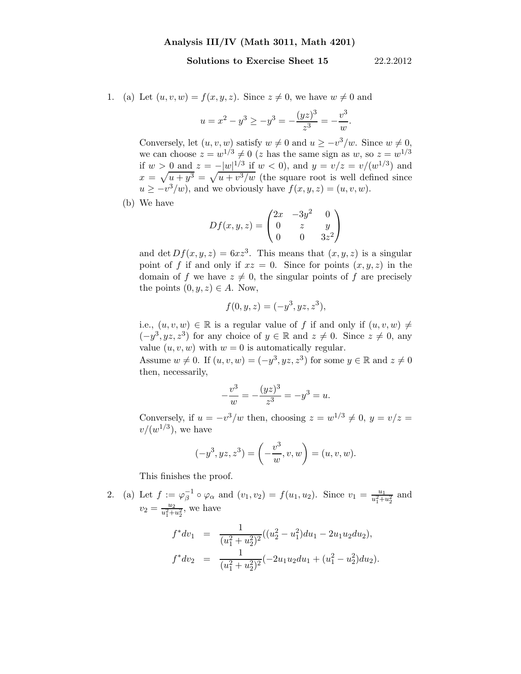## Solutions to Exercise Sheet 15 22.2.2012

1. (a) Let  $(u, v, w) = f(x, y, z)$ . Since  $z \neq 0$ , we have  $w \neq 0$  and

$$
u = x^{2} - y^{3} \ge -y^{3} = -\frac{(yz)^{3}}{z^{3}} = -\frac{v^{3}}{w}.
$$

Conversely, let  $(u, v, w)$  satisfy  $w \neq 0$  and  $u \geq -v^3/w$ . Since  $w \neq 0$ , we can choose  $z = w^{1/3} \neq 0$  (z has the same sign as w, so  $z = w^{1/3}$ if  $w > 0$  and  $z = -|w|^{1/3}$  if  $w < 0$ , and  $y = v/z = v/(w^{1/3})$  and  $x = \sqrt{u + y^3} = \sqrt{u + v^3/w}$  (the square root is well defined since  $u \geq -v^3/w$ , and we obviously have  $f(x, y, z) = (u, v, w)$ .

(b) We have

$$
Df(x, y, z) = \begin{pmatrix} 2x & -3y^{2} & 0\\ 0 & z & y\\ 0 & 0 & 3z^{2} \end{pmatrix}
$$

and det  $Df(x, y, z) = 6xz^3$ . This means that  $(x, y, z)$  is a singular point of f if and only if  $xz = 0$ . Since for points  $(x, y, z)$  in the domain of f we have  $z \neq 0$ , the singular points of f are precisely the points  $(0, y, z) \in A$ . Now,

$$
f(0, y, z) = (-y^3, yz, z^3),
$$

i.e.,  $(u, v, w) \in \mathbb{R}$  is a regular value of f if and only if  $(u, v, w) \neq$  $(-y^3, yz, z^3)$  for any choice of  $y \in \mathbb{R}$  and  $z \neq 0$ . Since  $z \neq 0$ , any value  $(u, v, w)$  with  $w = 0$  is automatically regular.

Assume  $w \neq 0$ . If  $(u, v, w) = (-y^3, yz, z^3)$  for some  $y \in \mathbb{R}$  and  $z \neq 0$ then, necessarily,

$$
-\frac{v^3}{w} = -\frac{(yz)^3}{z^3} = -y^3 = u.
$$

Conversely, if  $u = -v^3/w$  then, choosing  $z = w^{1/3} \neq 0$ ,  $y = v/z =$  $v/(w^{1/3})$ , we have

$$
(-y^3, yz, z^3) = \left(-\frac{v^3}{w}, v, w\right) = (u, v, w).
$$

This finishes the proof.

2. (a) Let  $f := \varphi_{\beta}^{-1}$  $\int_{\beta}^{-1} \circ \varphi_{\alpha}$  and  $(v_1, v_2) = f(u_1, u_2)$ . Since  $v_1 = \frac{u_1}{u_1^2 + 1}$  $\frac{u_1}{u_1^2+u_2^2}$  and  $v_2 = \frac{u_2}{u^2}$  $\frac{u_2}{u_1^2+u_2^2}$ , we have

$$
f^*dv_1 = \frac{1}{(u_1^2 + u_2^2)^2}((u_2^2 - u_1^2)du_1 - 2u_1u_2du_2),
$$
  

$$
f^*dv_2 = \frac{1}{(u_1^2 + u_2^2)^2}(-2u_1u_2du_1 + (u_1^2 - u_2^2)du_2).
$$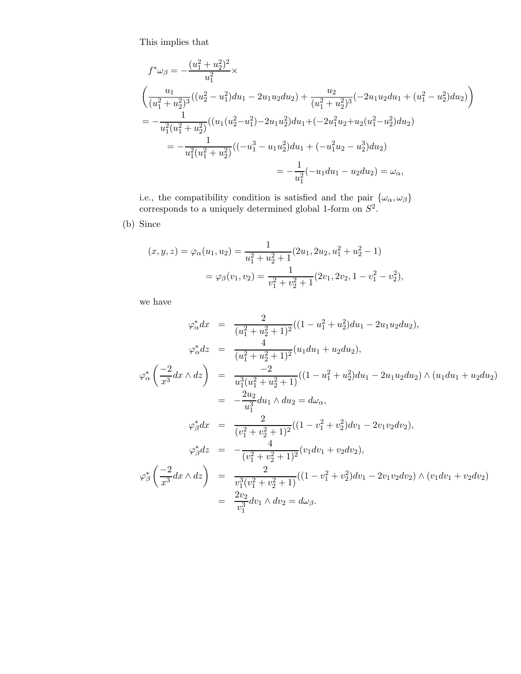This implies that

$$
f^*\omega_\beta = -\frac{(u_1^2 + u_2^2)^2}{u_1^2} \times
$$
  
\n
$$
\left(\frac{u_1}{(u_1^2 + u_2^2)^3}((u_2^2 - u_1^2)du_1 - 2u_1u_2du_2) + \frac{u_2}{(u_1^2 + u_2^2)^3}(-2u_1u_2du_1 + (u_1^2 - u_2^2)du_2)\right)
$$
  
\n
$$
= -\frac{1}{u_1^2(u_1^2 + u_2^2)}((u_1(u_2^2 - u_1^2) - 2u_1u_2^2)du_1 + (-2u_1^2u_2 + u_2(u_1^2 - u_2^2)du_2)
$$
  
\n
$$
= -\frac{1}{u_1^2(u_1^2 + u_2^2)}((-u_1^3 - u_1u_2^2)du_1 + (-u_1^2u_2 - u_2^3)du_2)
$$
  
\n
$$
= -\frac{1}{u_1^2}(-u_1du_1 - u_2du_2) = \omega_\alpha,
$$

i.e., the compatibility condition is satisfied and the pair  $\{\omega_{\alpha}, \omega_{\beta}\}\$ corresponds to a uniquely determined global 1-form on  $S^2$ .

(b) Since

$$
(x, y, z) = \varphi_{\alpha}(u_1, u_2) = \frac{1}{u_1^2 + u_2^2 + 1} (2u_1, 2u_2, u_1^2 + u_2^2 - 1)
$$
  
=  $\varphi_{\beta}(v_1, v_2) = \frac{1}{v_1^2 + v_2^2 + 1} (2v_1, 2v_2, 1 - v_1^2 - v_2^2),$ 

we have

$$
\varphi_{\alpha}^{*}dx = \frac{2}{(u_{1}^{2} + u_{2}^{2} + 1)^{2}}((1 - u_{1}^{2} + u_{2}^{2})du_{1} - 2u_{1}u_{2}du_{2}),
$$
\n
$$
\varphi_{\alpha}^{*}dz = \frac{4}{(u_{1}^{2} + u_{2}^{2} + 1)^{2}}(u_{1}du_{1} + u_{2}du_{2}),
$$
\n
$$
\varphi_{\alpha}^{*}\left(\frac{-2}{x^{3}}dx \wedge dz\right) = \frac{-2}{u_{1}^{3}(u_{1}^{2} + u_{2}^{2} + 1)}((1 - u_{1}^{2} + u_{2}^{2})du_{1} - 2u_{1}u_{2}du_{2}) \wedge (u_{1}du_{1} + u_{2}du_{2})
$$
\n
$$
= -\frac{2u_{2}}{u_{1}^{3}}du_{1} \wedge du_{2} = d\omega_{\alpha},
$$
\n
$$
\varphi_{\beta}^{*}dx = \frac{2}{(v_{1}^{2} + v_{2}^{2} + 1)^{2}}((1 - v_{1}^{2} + v_{2}^{2})dv_{1} - 2v_{1}v_{2}dv_{2}),
$$
\n
$$
\varphi_{\beta}^{*}dz = -\frac{4}{(v_{1}^{2} + v_{2}^{2} + 1)^{2}}(v_{1}dv_{1} + v_{2}dv_{2}),
$$
\n
$$
\varphi_{\beta}^{*}\left(\frac{-2}{x^{3}}dx \wedge dz\right) = \frac{2}{v_{1}^{3}(v_{1}^{2} + v_{2}^{2} + 1)}((1 - v_{1}^{2} + v_{2}^{2})dv_{1} - 2v_{1}v_{2}dv_{2}) \wedge (v_{1}dv_{1} + v_{2}dv_{2})
$$
\n
$$
= \frac{2v_{2}}{v_{1}^{3}}dv_{1} \wedge dv_{2} = d\omega_{\beta}.
$$